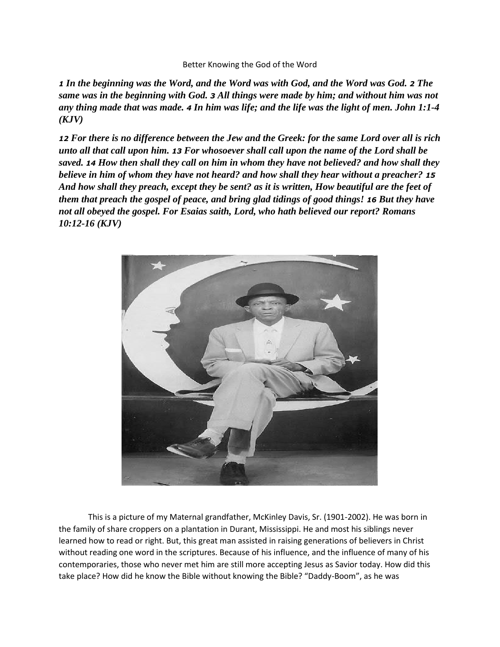## Better Knowing the God of the Word

*1 In the beginning was the Word, and the Word was with God, and the Word was God. 2 The same was in the beginning with God. 3 All things were made by him; and without him was not any thing made that was made. 4 In him was life; and the life was the light of men. John 1:1-4 (KJV)*

*12 For there is no difference between the Jew and the Greek: for the same Lord over all is rich unto all that call upon him. 13 For whosoever shall call upon the name of the Lord shall be saved. 14 How then shall they call on him in whom they have not believed? and how shall they believe in him of whom they have not heard? and how shall they hear without a preacher? 15 And how shall they preach, except they be sent? as it is written, How beautiful are the feet of them that preach the gospel of peace, and bring glad tidings of good things! 16 But they have not all obeyed the gospel. For Esaias saith, Lord, who hath believed our report? Romans 10:12-16 (KJV)*



 This is a picture of my Maternal grandfather, McKinley Davis, Sr. (1901-2002). He was born in the family of share croppers on a plantation in Durant, Mississippi. He and most his siblings never learned how to read or right. But, this great man assisted in raising generations of believers in Christ without reading one word in the scriptures. Because of his influence, and the influence of many of his contemporaries, those who never met him are still more accepting Jesus as Savior today. How did this take place? How did he know the Bible without knowing the Bible? "Daddy-Boom", as he was